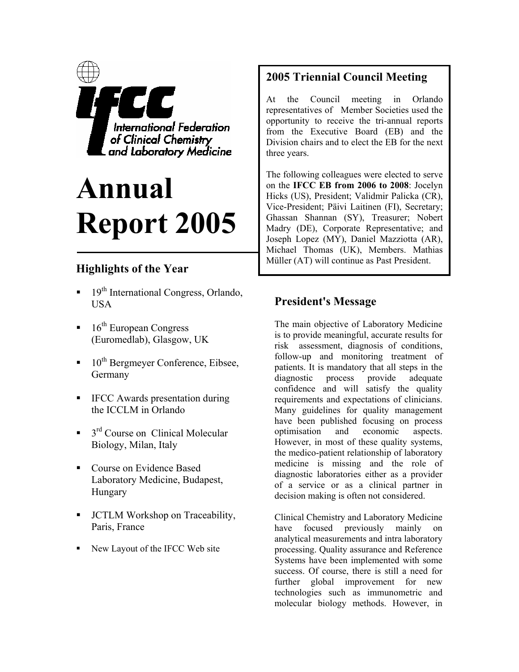

# **Annual Report 2005**

# **Highlights of the Year**

- $19<sup>th</sup> International Congress, Orlando,$ USA
- $16<sup>th</sup>$  European Congress (Euromedlab), Glasgow, UK
- $10^{th}$  Bergmeyer Conference, Eibsee, Germany
- **IFCC** Awards presentation during the ICCLM in Orlando
- $\blacksquare$  3<sup>rd</sup> Course on Clinical Molecular Biology, Milan, Italy
- Course on Evidence Based Laboratory Medicine, Budapest, Hungary
- JCTLM Workshop on Traceability, Paris, France
- New Layout of the IFCC Web site

# **2005 Triennial Council Meeting**

At the Council meeting in Orlando representatives of Member Societies used the opportunity to receive the tri-annual reports from the Executive Board (EB) and the Division chairs and to elect the EB for the next three years.

The following colleagues were elected to serve on the **IFCC EB from 2006 to 2008**: Jocelyn Hicks (US), President; Validmir Palicka (CR), Vice-President; Päivi Laitinen (FI), Secretary; Ghassan Shannan (SY), Treasurer; Nobert Madry (DE), Corporate Representative; and Joseph Lopez (MY), Daniel Mazziotta (AR), Michael Thomas (UK), Members. Mathias Müller (AT) will continue as Past President.

# **President's Message**

The main objective of Laboratory Medicine is to provide meaningful, accurate results for risk assessment, diagnosis of conditions, follow-up and monitoring treatment of patients. It is mandatory that all steps in the diagnostic process provide adequate confidence and will satisfy the quality requirements and expectations of clinicians. Many guidelines for quality management have been published focusing on process optimisation and economic aspects. However, in most of these quality systems, the medico-patient relationship of laboratory medicine is missing and the role of diagnostic laboratories either as a provider of a service or as a clinical partner in decision making is often not considered.

Clinical Chemistry and Laboratory Medicine have focused previously mainly on analytical measurements and intra laboratory processing. Quality assurance and Reference Systems have been implemented with some success. Of course, there is still a need for further global improvement for new technologies such as immunometric and molecular biology methods. However, in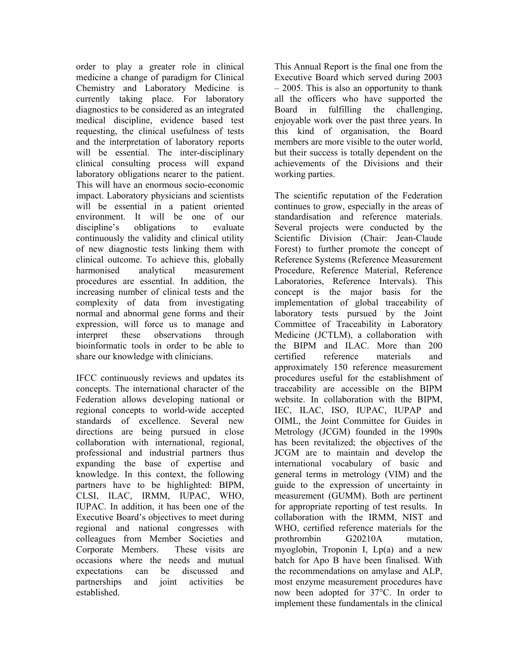order to play a greater role in clinical medicine a change of paradigm for Clinical Chemistry and Laboratory Medicine is currently taking place. For laboratory diagnostics to be considered as an integrated medical discipline, evidence based test requesting, the clinical usefulness of tests and the interpretation of laboratory reports will be essential. The inter-disciplinary clinical consulting process will expand laboratory obligations nearer to the patient. This will have an enormous socio-economic impact. Laboratory physicians and scientists will be essential in a patient oriented environment. It will be one of our discipline's obligations to evaluate continuously the validity and clinical utility of new diagnostic tests linking them with clinical outcome. To achieve this, globally harmonised analytical measurement procedures are essential. In addition, the increasing number of clinical tests and the complexity of data from investigating normal and abnormal gene forms and their expression, will force us to manage and interpret these observations through bioinformatic tools in order to be able to share our knowledge with clinicians.

IFCC continuously reviews and updates its concepts. The international character of the Federation allows developing national or regional concepts to world-wide accepted standards of excellence. Several new directions are being pursued in close collaboration with international, regional, professional and industrial partners thus expanding the base of expertise and knowledge. In this context, the following partners have to be highlighted: BIPM, CLSI, ILAC, IRMM, IUPAC, WHO, IUPAC. In addition, it has been one of the Executive Board's objectives to meet during regional and national congresses with colleagues from Member Societies and Corporate Members. These visits are occasions where the needs and mutual expectations can be discussed and partnerships and joint activities be established.

This Annual Report is the final one from the Executive Board which served during 2003 – 2005. This is also an opportunity to thank all the officers who have supported the Board in fulfilling the challenging, enjoyable work over the past three years. In this kind of organisation, the Board members are more visible to the outer world, but their success is totally dependent on the achievements of the Divisions and their working parties.

The scientific reputation of the Federation continues to grow, especially in the areas of standardisation and reference materials. Several projects were conducted by the Scientific Division (Chair: Jean-Claude Forest) to further promote the concept of Reference Systems (Reference Measurement Procedure, Reference Material, Reference Laboratories, Reference Intervals). This concept is the major basis for the implementation of global traceability of laboratory tests pursued by the Joint Committee of Traceability in Laboratory Medicine (JCTLM), a collaboration with the BIPM and ILAC. More than 200 certified reference materials and approximately 150 reference measurement procedures useful for the establishment of traceability are accessible on the BIPM website. In collaboration with the BIPM, IEC, ILAC, ISO, IUPAC, IUPAP and OIML, the Joint Committee for Guides in Metrology (JCGM) founded in the 1990s has been revitalized; the objectives of the JCGM are to maintain and develop the international vocabulary of basic and general terms in metrology (VIM) and the guide to the expression of uncertainty in measurement (GUMM). Both are pertinent for appropriate reporting of test results. In collaboration with the IRMM, NIST and WHO, certified reference materials for the prothrombin G20210A mutation, myoglobin, Troponin I, Lp(a) and a new batch for Apo B have been finalised. With the recommendations on amylase and ALP, most enzyme measurement procedures have now been adopted for 37°C. In order to implement these fundamentals in the clinical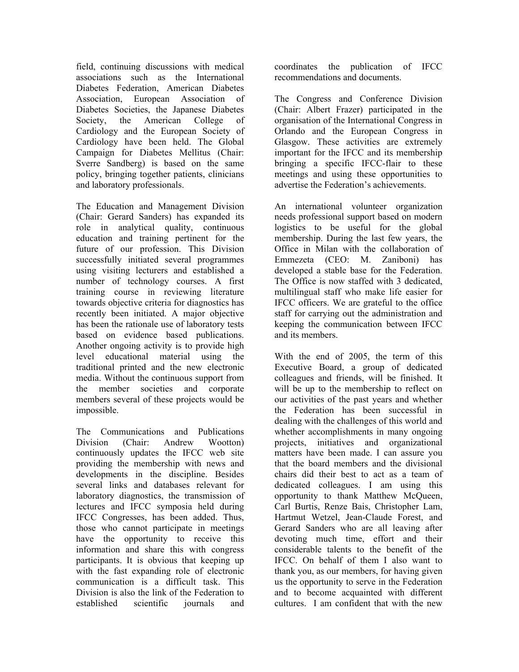field, continuing discussions with medical associations such as the International Diabetes Federation, American Diabetes Association, European Association of Diabetes Societies, the Japanese Diabetes Society, the American College of Cardiology and the European Society of Cardiology have been held. The Global Campaign for Diabetes Mellitus (Chair: Sverre Sandberg) is based on the same policy, bringing together patients, clinicians and laboratory professionals.

The Education and Management Division (Chair: Gerard Sanders) has expanded its role in analytical quality, continuous education and training pertinent for the future of our profession. This Division successfully initiated several programmes using visiting lecturers and established a number of technology courses. A first training course in reviewing literature towards objective criteria for diagnostics has recently been initiated. A major objective has been the rationale use of laboratory tests based on evidence based publications. Another ongoing activity is to provide high level educational material using the traditional printed and the new electronic media. Without the continuous support from the member societies and corporate members several of these projects would be impossible.

The Communications and Publications Division (Chair: Andrew Wootton) continuously updates the IFCC web site providing the membership with news and developments in the discipline. Besides several links and databases relevant for laboratory diagnostics, the transmission of lectures and IFCC symposia held during IFCC Congresses, has been added. Thus, those who cannot participate in meetings have the opportunity to receive this information and share this with congress participants. It is obvious that keeping up with the fast expanding role of electronic communication is a difficult task. This Division is also the link of the Federation to established scientific journals and

coordinates the publication of IFCC recommendations and documents.

The Congress and Conference Division (Chair: Albert Frazer) participated in the organisation of the International Congress in Orlando and the European Congress in Glasgow. These activities are extremely important for the IFCC and its membership bringing a specific IFCC-flair to these meetings and using these opportunities to advertise the Federation's achievements.

An international volunteer organization needs professional support based on modern logistics to be useful for the global membership. During the last few years, the Office in Milan with the collaboration of Emmezeta (CEO: M. Zaniboni) has developed a stable base for the Federation. The Office is now staffed with 3 dedicated, multilingual staff who make life easier for IFCC officers. We are grateful to the office staff for carrying out the administration and keeping the communication between IFCC and its members.

With the end of 2005, the term of this Executive Board, a group of dedicated colleagues and friends, will be finished. It will be up to the membership to reflect on our activities of the past years and whether the Federation has been successful in dealing with the challenges of this world and whether accomplishments in many ongoing projects, initiatives and organizational matters have been made. I can assure you that the board members and the divisional chairs did their best to act as a team of dedicated colleagues. I am using this opportunity to thank Matthew McQueen, Carl Burtis, Renze Bais, Christopher Lam, Hartmut Wetzel, Jean-Claude Forest, and Gerard Sanders who are all leaving after devoting much time, effort and their considerable talents to the benefit of the IFCC. On behalf of them I also want to thank you, as our members, for having given us the opportunity to serve in the Federation and to become acquainted with different cultures. I am confident that with the new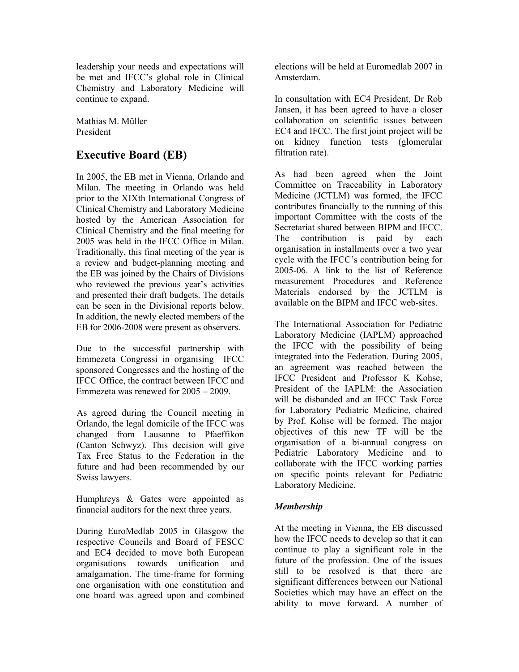leadership your needs and expectations will be met and IFCC's global role in Clinical Chemistry and Laboratory Medicine will continue to expand.

Mathias M. Müller President

# **Executive Board (EB)**

In 2005, the EB met in Vienna, Orlando and Milan. The meeting in Orlando was held prior to the XIXth International Congress of Clinical Chemistry and Laboratory Medicine hosted by the American Association for Clinical Chemistry and the final meeting for 2005 was held in the IFCC Office in Milan. Traditionally, this final meeting of the year is a review and budget-planning meeting and the EB was joined by the Chairs of Divisions who reviewed the previous year's activities and presented their draft budgets. The details can be seen in the Divisional reports below. In addition, the newly elected members of the EB for 2006-2008 were present as observers.

Due to the successful partnership with Emmezeta Congressi in organising IFCC sponsored Congresses and the hosting of the IFCC Office, the contract between IFCC and Emmezeta was renewed for 2005 – 2009.

As agreed during the Council meeting in Orlando, the legal domicile of the IFCC was changed from Lausanne to Pfaeffikon (Canton Schwyz). This decision will give Tax Free Status to the Federation in the future and had been recommended by our Swiss lawyers.

Humphreys & Gates were appointed as financial auditors for the next three years.

During EuroMedlab 2005 in Glasgow the respective Councils and Board of FESCC and EC4 decided to move both European organisations towards unification and amalgamation. The time-frame for forming one organisation with one constitution and one board was agreed upon and combined elections will be held at Euromedlab 2007 in Amsterdam.

In consultation with EC4 President, Dr Rob Jansen, it has been agreed to have a closer collaboration on scientific issues between EC4 and IFCC. The first joint project will be on kidney function tests (glomerular filtration rate).

As had been agreed when the Joint Committee on Traceability in Laboratory Medicine (JCTLM) was formed, the IFCC contributes financially to the running of this important Committee with the costs of the Secretariat shared between BIPM and IFCC. The contribution is paid by each organisation in installments over a two year cycle with the IFCC's contribution being for 2005-06. A link to the list of Reference measurement Procedures and Reference Materials endorsed by the JCTLM is available on the BIPM and IFCC web-sites.

The International Association for Pediatric Laboratory Medicine (IAPLM) approached the IFCC with the possibility of being integrated into the Federation. During 2005, an agreement was reached between the IFCC President and Professor K Kohse, President of the IAPLM: the Association will be disbanded and an IFCC Task Force for Laboratory Pediatric Medicine, chaired by Prof. Kohse will be formed. The major objectives of this new TF will be the organisation of a bi-annual congress on Pediatric Laboratory Medicine and to collaborate with the IFCC working parties on specific points relevant for Pediatric Laboratory Medicine.

#### *Membership*

At the meeting in Vienna, the EB discussed how the IFCC needs to develop so that it can continue to play a significant role in the future of the profession. One of the issues still to be resolved is that there are significant differences between our National Societies which may have an effect on the ability to move forward. A number of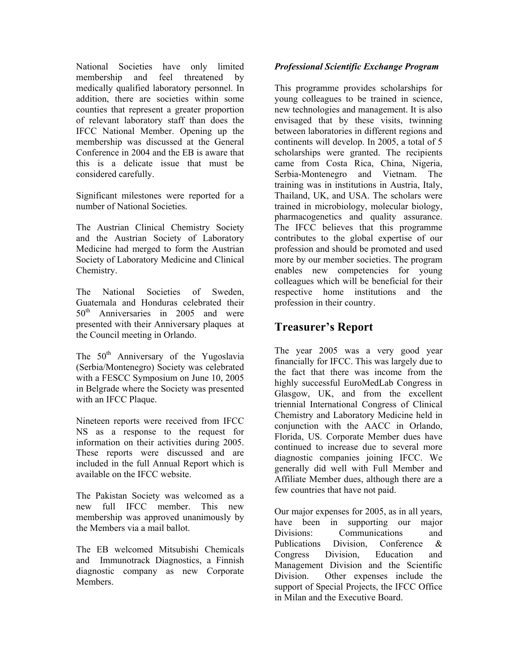National Societies have only limited membership and feel threatened by medically qualified laboratory personnel. In addition, there are societies within some counties that represent a greater proportion of relevant laboratory staff than does the IFCC National Member. Opening up the membership was discussed at the General Conference in 2004 and the EB is aware that this is a delicate issue that must be considered carefully.

Significant milestones were reported for a number of National Societies.

The Austrian Clinical Chemistry Society and the Austrian Society of Laboratory Medicine had merged to form the Austrian Society of Laboratory Medicine and Clinical Chemistry.

The National Societies of Sweden, Guatemala and Honduras celebrated their 50<sup>th</sup> Anniversaries in 2005 and were presented with their Anniversary plaques at the Council meeting in Orlando.

The  $50<sup>th</sup>$  Anniversary of the Yugoslavia (Serbia/Montenegro) Society was celebrated with a FESCC Symposium on June 10, 2005 in Belgrade where the Society was presented with an IFCC Plaque.

Nineteen reports were received from IFCC NS as a response to the request for information on their activities during 2005. These reports were discussed and are included in the full Annual Report which is available on the IFCC website.

The Pakistan Society was welcomed as a new full IFCC member. This new membership was approved unanimously by the Members via a mail ballot.

The EB welcomed Mitsubishi Chemicals and Immunotrack Diagnostics, a Finnish diagnostic company as new Corporate Members.

#### *Professional Scientific Exchange Program*

This programme provides scholarships for young colleagues to be trained in science, new technologies and management. It is also envisaged that by these visits, twinning between laboratories in different regions and continents will develop. In 2005, a total of 5 scholarships were granted. The recipients came from Costa Rica, China, Nigeria, Serbia-Montenegro and Vietnam. The training was in institutions in Austria, Italy, Thailand, UK, and USA. The scholars were trained in microbiology, molecular biology, pharmacogenetics and quality assurance. The IFCC believes that this programme contributes to the global expertise of our profession and should be promoted and used more by our member societies. The program enables new competencies for young colleagues which will be beneficial for their respective home institutions and the profession in their country.

# **Treasurer's Report**

The year 2005 was a very good year financially for IFCC. This was largely due to the fact that there was income from the highly successful EuroMedLab Congress in Glasgow, UK, and from the excellent triennial International Congress of Clinical Chemistry and Laboratory Medicine held in conjunction with the AACC in Orlando, Florida, US. Corporate Member dues have continued to increase due to several more diagnostic companies joining IFCC. We generally did well with Full Member and Affiliate Member dues, although there are a few countries that have not paid.

Our major expenses for 2005, as in all years, have been in supporting our major Divisions: Communications and Publications Division, Conference & Congress Division, Education and Management Division and the Scientific Division. Other expenses include the support of Special Projects, the IFCC Office in Milan and the Executive Board.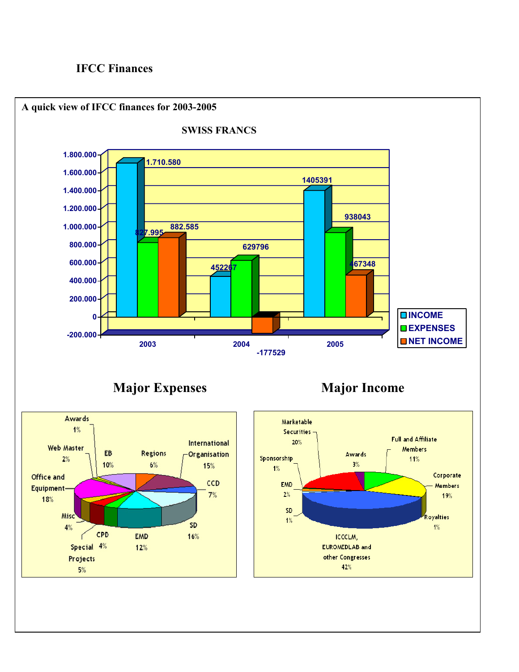# **IFCC Finances**

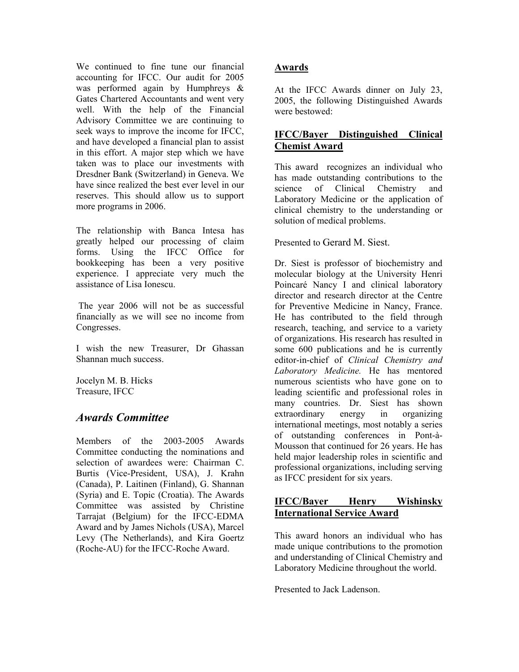We continued to fine tune our financial accounting for IFCC. Our audit for 2005 was performed again by Humphreys & Gates Chartered Accountants and went very well. With the help of the Financial Advisory Committee we are continuing to seek ways to improve the income for IFCC, and have developed a financial plan to assist in this effort. A major step which we have taken was to place our investments with Dresdner Bank (Switzerland) in Geneva. We have since realized the best ever level in our reserves. This should allow us to support more programs in 2006.

The relationship with Banca Intesa has greatly helped our processing of claim forms. Using the IFCC Office for bookkeeping has been a very positive experience. I appreciate very much the assistance of Lisa Ionescu.

 The year 2006 will not be as successful financially as we will see no income from Congresses.

I wish the new Treasurer, Dr Ghassan Shannan much success.

Jocelyn M. B. Hicks Treasure, IFCC

# *Awards Committee*

Members of the 2003-2005 Awards Committee conducting the nominations and selection of awardees were: Chairman C. Burtis (Vice-President, USA), J. Krahn (Canada), P. Laitinen (Finland), G. Shannan (Syria) and E. Topic (Croatia). The Awards Committee was assisted by Christine Tarrajat (Belgium) for the IFCC-EDMA Award and by James Nichols (USA), Marcel Levy (The Netherlands), and Kira Goertz (Roche-AU) for the IFCC-Roche Award.

# **Awards**

At the IFCC Awards dinner on July 23, 2005, the following Distinguished Awards were bestowed:

## **IFCC/Bayer Distinguished Clinical Chemist Award**

This award recognizes an individual who has made outstanding contributions to the science of Clinical Chemistry and Laboratory Medicine or the application of clinical chemistry to the understanding or solution of medical problems.

Presented to Gerard M. Siest.

Dr. Siest is professor of biochemistry and molecular biology at the University Henri Poincaré Nancy I and clinical laboratory director and research director at the Centre for Preventive Medicine in Nancy, France. He has contributed to the field through research, teaching, and service to a variety of organizations. His research has resulted in some 600 publications and he is currently editor-in-chief of *Clinical Chemistry and Laboratory Medicine.* He has mentored numerous scientists who have gone on to leading scientific and professional roles in many countries. Dr. Siest has shown extraordinary energy in organizing international meetings, most notably a series of outstanding conferences in Pont-à-Mousson that continued for 26 years. He has held major leadership roles in scientific and professional organizations, including serving as IFCC president for six years.

## **IFCC/Bayer Henry Wishinsky International Service Award**

This award honors an individual who has made unique contributions to the promotion and understanding of Clinical Chemistry and Laboratory Medicine throughout the world.

Presented to Jack Ladenson.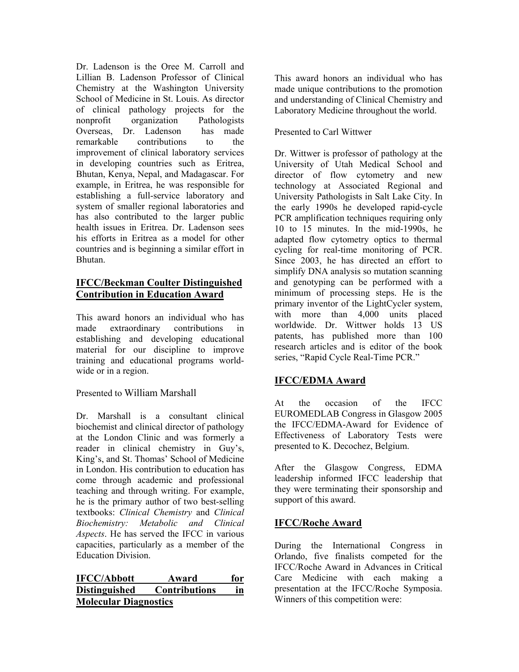Dr. Ladenson is the Oree M. Carroll and Lillian B. Ladenson Professor of Clinical Chemistry at the Washington University School of Medicine in St. Louis. As director of clinical pathology projects for the nonprofit organization Pathologists Overseas, Dr. Ladenson has made remarkable contributions to the improvement of clinical laboratory services in developing countries such as Eritrea, Bhutan, Kenya, Nepal, and Madagascar. For example, in Eritrea, he was responsible for establishing a full-service laboratory and system of smaller regional laboratories and has also contributed to the larger public health issues in Eritrea. Dr. Ladenson sees his efforts in Eritrea as a model for other countries and is beginning a similar effort in Bhutan.

# **IFCC/Beckman Coulter Distinguished Contribution in Education Award**

This award honors an individual who has made extraordinary contributions in establishing and developing educational material for our discipline to improve training and educational programs worldwide or in a region.

# Presented to William Marshall

Dr. Marshall is a consultant clinical biochemist and clinical director of pathology at the London Clinic and was formerly a reader in clinical chemistry in Guy's, King's, and St. Thomas' School of Medicine in London. His contribution to education has come through academic and professional teaching and through writing. For example, he is the primary author of two best-selling textbooks: *Clinical Chemistry* and *Clinical Biochemistry: Metabolic and Clinical Aspects*. He has served the IFCC in various capacities, particularly as a member of the Education Division.

# **IFCC/Abbott Award for Distinguished Contributions in Molecular Diagnostics**

This award honors an individual who has made unique contributions to the promotion and understanding of Clinical Chemistry and Laboratory Medicine throughout the world.

### Presented to Carl Wittwer

Dr. Wittwer is professor of pathology at the University of Utah Medical School and director of flow cytometry and new technology at Associated Regional and University Pathologists in Salt Lake City. In the early 1990s he developed rapid-cycle PCR amplification techniques requiring only 10 to 15 minutes. In the mid-1990s, he adapted flow cytometry optics to thermal cycling for real-time monitoring of PCR. Since 2003, he has directed an effort to simplify DNA analysis so mutation scanning and genotyping can be performed with a minimum of processing steps. He is the primary inventor of the LightCycler system, with more than 4,000 units placed worldwide. Dr. Wittwer holds 13 US patents, has published more than 100 research articles and is editor of the book series, "Rapid Cycle Real-Time PCR."

# **IFCC/EDMA Award**

At the occasion of the IFCC EUROMEDLAB Congress in Glasgow 2005 the IFCC/EDMA-Award for Evidence of Effectiveness of Laboratory Tests were presented to K. Decochez, Belgium.

After the Glasgow Congress, EDMA leadership informed IFCC leadership that they were terminating their sponsorship and support of this award.

# **IFCC/Roche Award**

During the International Congress in Orlando, five finalists competed for the IFCC/Roche Award in Advances in Critical Care Medicine with each making a presentation at the IFCC/Roche Symposia. Winners of this competition were: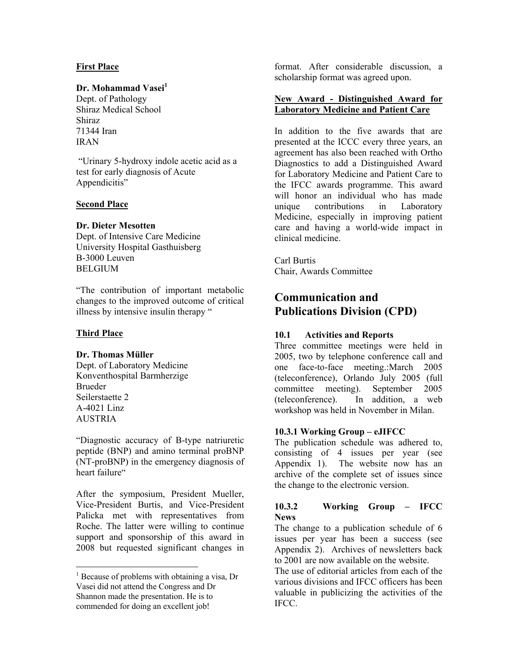#### **First Place**

#### **Dr. Mohammad Vasei**<sup>1</sup>

Dept. of Pathology Shiraz Medical School Shiraz 71344 Iran IRAN

 "Urinary 5-hydroxy indole acetic acid as a test for early diagnosis of Acute Appendicitis"

#### **Second Place**

#### **Dr. Dieter Mesotten**

Dept. of Intensive Care Medicine University Hospital Gasthuisberg B-3000 Leuven **BELGIUM** 

"The contribution of important metabolic changes to the improved outcome of critical illness by intensive insulin therapy "

#### **Third Place**

 $\overline{a}$ 

#### **Dr. Thomas Müller**

Dept. of Laboratory Medicine Konventhospital Barmherzige Brueder Seilerstaette 2 A-4021 Linz AUSTRIA

"Diagnostic accuracy of B-type natriuretic peptide (BNP) and amino terminal proBNP (NT-proBNP) in the emergency diagnosis of heart failure"

After the symposium, President Mueller, Vice-President Burtis, and Vice-President Palicka met with representatives from Roche. The latter were willing to continue support and sponsorship of this award in 2008 but requested significant changes in

format. After considerable discussion, a scholarship format was agreed upon.

#### **New Award - Distinguished Award for Laboratory Medicine and Patient Care**

In addition to the five awards that are presented at the ICCC every three years, an agreement has also been reached with Ortho Diagnostics to add a Distinguished Award for Laboratory Medicine and Patient Care to the IFCC awards programme. This award will honor an individual who has made unique contributions in Laboratory Medicine, especially in improving patient care and having a world-wide impact in clinical medicine.

Carl Burtis Chair, Awards Committee

# **Communication and Publications Division (CPD)**

#### **10.1 Activities and Reports**

Three committee meetings were held in 2005, two by telephone conference call and one face-to-face meeting.:March 2005 (teleconference), Orlando July 2005 (full committee meeting). September 2005 (teleconference). In addition, a web workshop was held in November in Milan.

#### **10.3.1 Working Group – eJIFCC**

The publication schedule was adhered to, consisting of 4 issues per year (see Appendix 1). The website now has an archive of the complete set of issues since the change to the electronic version.

#### **10.3.2 Working Group – IFCC News**

The change to a publication schedule of 6 issues per year has been a success (see Appendix 2). Archives of newsletters back to 2001 are now available on the website.

The use of editorial articles from each of the various divisions and IFCC officers has been valuable in publicizing the activities of the IFCC.

<sup>&</sup>lt;sup>1</sup> Because of problems with obtaining a visa, Dr Vasei did not attend the Congress and Dr Shannon made the presentation. He is to commended for doing an excellent job!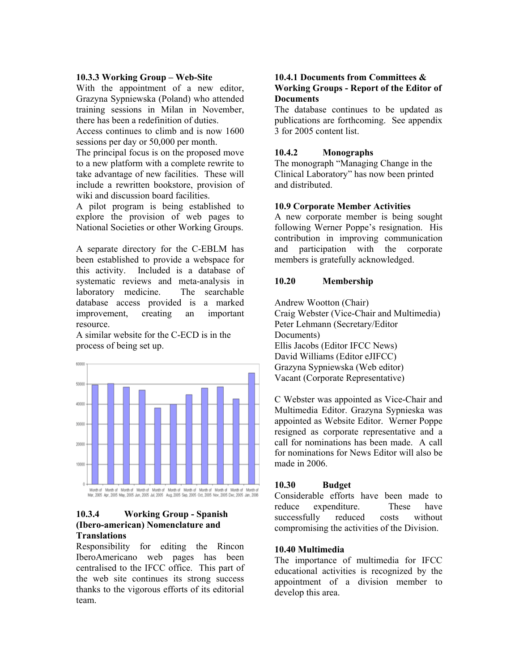#### **10.3.3 Working Group – Web-Site**

With the appointment of a new editor, Grazyna Sypniewska (Poland) who attended training sessions in Milan in November, there has been a redefinition of duties.

Access continues to climb and is now 1600 sessions per day or 50,000 per month.

The principal focus is on the proposed move to a new platform with a complete rewrite to take advantage of new facilities. These will include a rewritten bookstore, provision of wiki and discussion board facilities.

A pilot program is being established to explore the provision of web pages to National Societies or other Working Groups.

A separate directory for the C-EBLM has been established to provide a webspace for this activity. Included is a database of systematic reviews and meta-analysis in laboratory medicine. The searchable database access provided is a marked improvement, creating an important resource.

A similar website for the C-ECD is in the process of being set up.



#### **10.3.4 Working Group - Spanish (Ibero-american) Nomenclature and Translations**

Responsibility for editing the Rincon IberoAmericano web pages has been centralised to the IFCC office. This part of the web site continues its strong success thanks to the vigorous efforts of its editorial team.

#### **10.4.1 Documents from Committees & Working Groups - Report of the Editor of Documents**

The database continues to be updated as publications are forthcoming. See appendix 3 for 2005 content list.

#### **10.4.2 Monographs**

The monograph "Managing Change in the Clinical Laboratory" has now been printed and distributed.

#### **10.9 Corporate Member Activities**

A new corporate member is being sought following Werner Poppe's resignation. His contribution in improving communication and participation with the corporate members is gratefully acknowledged.

#### **10.20 Membership**

Andrew Wootton (Chair) Craig Webster (Vice-Chair and Multimedia) Peter Lehmann (Secretary/Editor Documents) Ellis Jacobs (Editor IFCC News) David Williams (Editor eJIFCC) Grazyna Sypniewska (Web editor) Vacant (Corporate Representative)

C Webster was appointed as Vice-Chair and Multimedia Editor. Grazyna Sypnieska was appointed as Website Editor. Werner Poppe resigned as corporate representative and a call for nominations has been made. A call for nominations for News Editor will also be made in 2006.

#### **10.30 Budget**

Considerable efforts have been made to reduce expenditure. These have successfully reduced costs without compromising the activities of the Division.

#### **10.40 Multimedia**

The importance of multimedia for IFCC educational activities is recognized by the appointment of a division member to develop this area.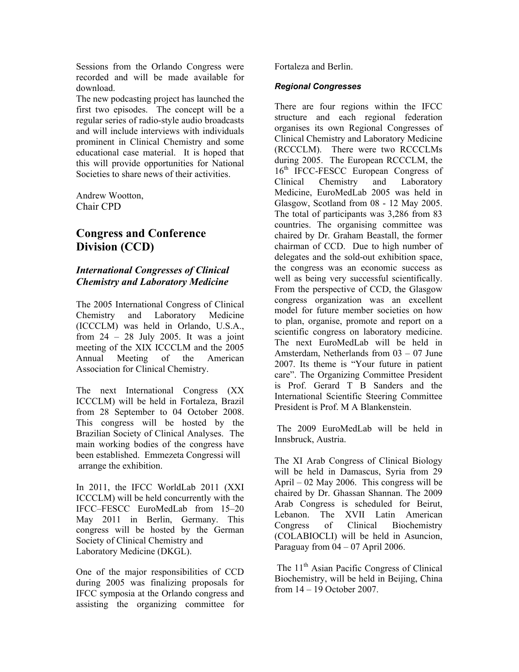Sessions from the Orlando Congress were recorded and will be made available for download.

The new podcasting project has launched the first two episodes. The concept will be a regular series of radio-style audio broadcasts and will include interviews with individuals prominent in Clinical Chemistry and some educational case material. It is hoped that this will provide opportunities for National Societies to share news of their activities.

Andrew Wootton, Chair CPD

# **Congress and Conference Division (CCD)**

## *International Congresses of Clinical Chemistry and Laboratory Medicine*

The 2005 International Congress of Clinical Chemistry and Laboratory Medicine (ICCCLM) was held in Orlando, U.S.A., from  $24 - 28$  July 2005. It was a joint meeting of the XIX ICCCLM and the 2005 Annual Meeting of the American Association for Clinical Chemistry.

The next International Congress (XX ICCCLM) will be held in Fortaleza, Brazil from 28 September to 04 October 2008. This congress will be hosted by the Brazilian Society of Clinical Analyses. The main working bodies of the congress have been established. Emmezeta Congressi will arrange the exhibition.

In 2011, the IFCC WorldLab 2011 (XXI ICCCLM) will be held concurrently with the IFCC–FESCC EuroMedLab from 15–20 May 2011 in Berlin, Germany. This congress will be hosted by the German Society of Clinical Chemistry and Laboratory Medicine (DKGL).

One of the major responsibilities of CCD during 2005 was finalizing proposals for IFCC symposia at the Orlando congress and assisting the organizing committee for

Fortaleza and Berlin.

#### *Regional Congresses*

There are four regions within the IFCC structure and each regional federation organises its own Regional Congresses of Clinical Chemistry and Laboratory Medicine (RCCCLM). There were two RCCCLMs during 2005. The European RCCCLM, the 16<sup>th</sup> IFCC-FESCC European Congress of Clinical Chemistry and Laboratory Medicine, EuroMedLab 2005 was held in Glasgow, Scotland from 08 - 12 May 2005. The total of participants was 3,286 from 83 countries. The organising committee was chaired by Dr. Graham Beastall, the former chairman of CCD. Due to high number of delegates and the sold-out exhibition space, the congress was an economic success as well as being very successful scientifically. From the perspective of CCD, the Glasgow congress organization was an excellent model for future member societies on how to plan, organise, promote and report on a scientific congress on laboratory medicine. The next EuroMedLab will be held in Amsterdam, Netherlands from 03 – 07 June 2007. Its theme is "Your future in patient care". The Organizing Committee President is Prof. Gerard T B Sanders and the International Scientific Steering Committee President is Prof. M A Blankenstein.

 The 2009 EuroMedLab will be held in Innsbruck, Austria.

The XI Arab Congress of Clinical Biology will be held in Damascus, Syria from 29 April – 02 May 2006. This congress will be chaired by Dr. Ghassan Shannan. The 2009 Arab Congress is scheduled for Beirut, Lebanon. The XVII Latin American Congress of Clinical Biochemistry (COLABIOCLI) will be held in Asuncion, Paraguay from  $04 - 07$  April 2006.

The 11<sup>th</sup> Asian Pacific Congress of Clinical Biochemistry, will be held in Beijing, China from 14 – 19 October 2007.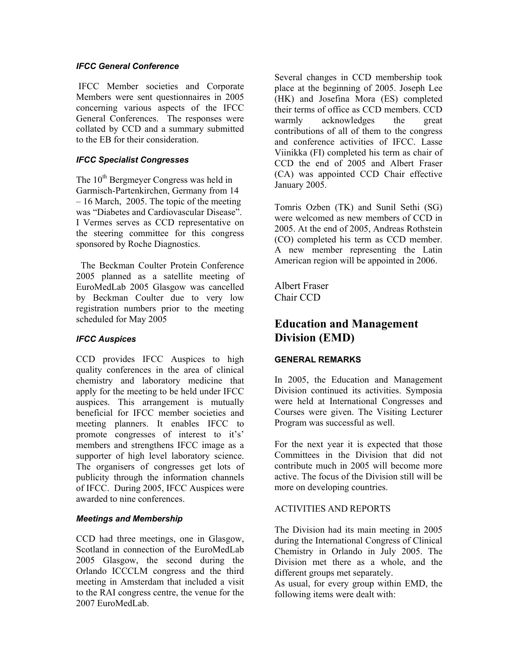#### *IFCC General Conference*

 IFCC Member societies and Corporate Members were sent questionnaires in 2005 concerning various aspects of the IFCC General Conferences. The responses were collated by CCD and a summary submitted to the EB for their consideration.

#### *IFCC Specialist Congresses*

The  $10<sup>th</sup>$  Bergmeyer Congress was held in Garmisch-Partenkirchen, Germany from 14 – 16 March, 2005. The topic of the meeting was "Diabetes and Cardiovascular Disease". I Vermes serves as CCD representative on the steering committee for this congress sponsored by Roche Diagnostics.

 The Beckman Coulter Protein Conference 2005 planned as a satellite meeting of EuroMedLab 2005 Glasgow was cancelled by Beckman Coulter due to very low registration numbers prior to the meeting scheduled for May 2005

#### *IFCC Auspices*

CCD provides IFCC Auspices to high quality conferences in the area of clinical chemistry and laboratory medicine that apply for the meeting to be held under IFCC auspices. This arrangement is mutually beneficial for IFCC member societies and meeting planners. It enables IFCC to promote congresses of interest to it's' members and strengthens IFCC image as a supporter of high level laboratory science. The organisers of congresses get lots of publicity through the information channels of IFCC. During 2005, IFCC Auspices were awarded to nine conferences.

#### *Meetings and Membership*

CCD had three meetings, one in Glasgow, Scotland in connection of the EuroMedLab 2005 Glasgow, the second during the Orlando ICCCLM congress and the third meeting in Amsterdam that included a visit to the RAI congress centre, the venue for the 2007 EuroMedLab.

Several changes in CCD membership took place at the beginning of 2005. Joseph Lee (HK) and Josefina Mora (ES) completed their terms of office as CCD members. CCD warmly acknowledges the great contributions of all of them to the congress and conference activities of IFCC. Lasse Viinikka (FI) completed his term as chair of CCD the end of 2005 and Albert Fraser (CA) was appointed CCD Chair effective January 2005.

Tomris Ozben (TK) and Sunil Sethi (SG) were welcomed as new members of CCD in 2005. At the end of 2005, Andreas Rothstein (CO) completed his term as CCD member. A new member representing the Latin American region will be appointed in 2006.

Albert Fraser Chair CCD

# **Education and Management Division (EMD)**

#### **GENERAL REMARKS**

In 2005, the Education and Management Division continued its activities. Symposia were held at International Congresses and Courses were given. The Visiting Lecturer Program was successful as well.

For the next year it is expected that those Committees in the Division that did not contribute much in 2005 will become more active. The focus of the Division still will be more on developing countries.

#### ACTIVITIES AND REPORTS

The Division had its main meeting in 2005 during the International Congress of Clinical Chemistry in Orlando in July 2005. The Division met there as a whole, and the different groups met separately.

As usual, for every group within EMD, the following items were dealt with: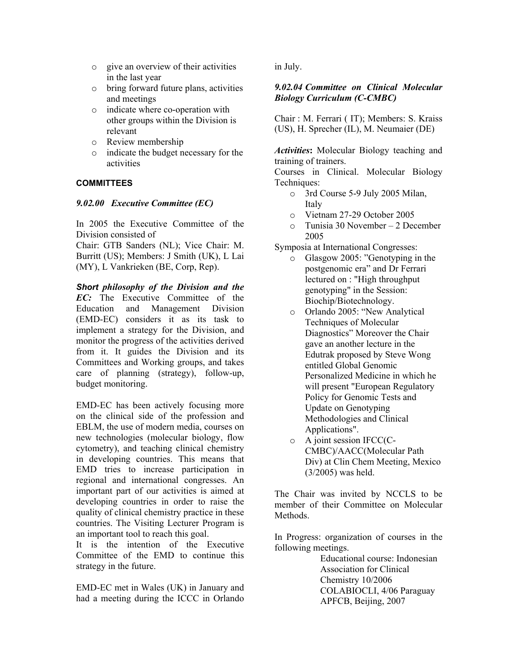- o give an overview of their activities in the last year
- o bring forward future plans, activities and meetings
- o indicate where co-operation with other groups within the Division is relevant
- o Review membership
- o indicate the budget necessary for the activities

#### **COMMITTEES**

#### *9.02.00 Executive Committee (EC)*

In 2005 the Executive Committee of the Division consisted of

Chair: GTB Sanders (NL); Vice Chair: M. Burritt (US); Members: J Smith (UK), L Lai (MY), L Vankrieken (BE, Corp, Rep).

*Short philosophy of the Division and the EC:* The Executive Committee of the Education and Management Division (EMD-EC) considers it as its task to implement a strategy for the Division, and monitor the progress of the activities derived from it. It guides the Division and its Committees and Working groups, and takes care of planning (strategy), follow-up, budget monitoring.

EMD-EC has been actively focusing more on the clinical side of the profession and EBLM, the use of modern media, courses on new technologies (molecular biology, flow cytometry), and teaching clinical chemistry in developing countries. This means that EMD tries to increase participation in regional and international congresses. An important part of our activities is aimed at developing countries in order to raise the quality of clinical chemistry practice in these countries. The Visiting Lecturer Program is an important tool to reach this goal.

It is the intention of the Executive Committee of the EMD to continue this strategy in the future.

EMD-EC met in Wales (UK) in January and had a meeting during the ICCC in Orlando

in July.

#### *9.02.04 Committee on Clinical Molecular Biology Curriculum (C-CMBC)*

Chair : M. Ferrari ( IT); Members: S. Kraiss (US), H. Sprecher (IL), M. Neumaier (DE)

*Activities***:** Molecular Biology teaching and training of trainers.

Courses in Clinical. Molecular Biology Techniques:

- o 3rd Course 5-9 July 2005 Milan, Italy
- o Vietnam 27-29 October 2005
- o Tunisia 30 November 2 December 2005
- Symposia at International Congresses:
	- o Glasgow 2005: "Genotyping in the postgenomic era" and Dr Ferrari lectured on : "High throughput genotyping" in the Session: Biochip/Biotechnology.
	- o Orlando 2005: "New Analytical Techniques of Molecular Diagnostics" Moreover the Chair gave an another lecture in the Edutrak proposed by Steve Wong entitled Global Genomic Personalized Medicine in which he will present "European Regulatory Policy for Genomic Tests and Update on Genotyping Methodologies and Clinical Applications".
	- o A joint session IFCC(C-CMBC)/AACC(Molecular Path Div) at Clin Chem Meeting, Mexico (3/2005) was held.

The Chair was invited by NCCLS to be member of their Committee on Molecular **Methods** 

In Progress: organization of courses in the following meetings.

> Educational course: Indonesian Association for Clinical Chemistry 10/2006 COLABIOCLI, 4/06 Paraguay APFCB, Beijing, 2007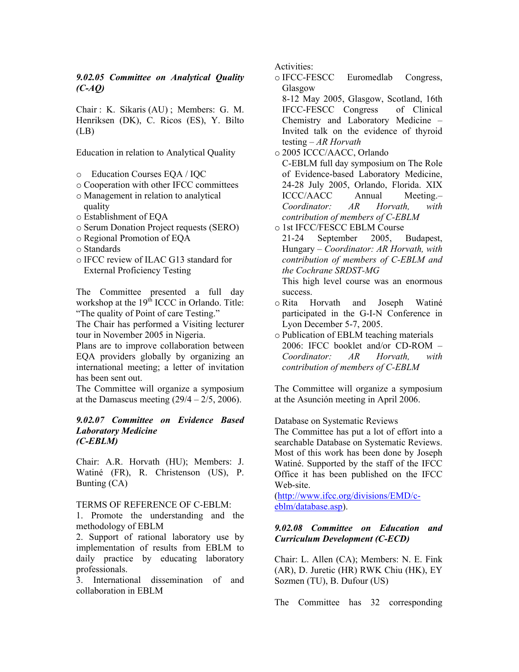#### *9.02.05 Committee on Analytical Quality (C-AQ)*

Chair : K. Sikaris (AU) ; Members: G. M. Henriksen (DK), C. Ricos (ES), Y. Bilto  $(LB)$ 

Education in relation to Analytical Quality

- o Education Courses EQA / IQC
- o Cooperation with other IFCC committees
- o Management in relation to analytical quality
- o Establishment of EQA
- o Serum Donation Project requests (SERO)
- o Regional Promotion of EQA
- o Standards
- o IFCC review of ILAC G13 standard for External Proficiency Testing

The Committee presented a full day workshop at the 19<sup>th</sup> ICCC in Orlando. Title: "The quality of Point of care Testing."

The Chair has performed a Visiting lecturer tour in November 2005 in Nigeria.

Plans are to improve collaboration between EQA providers globally by organizing an international meeting; a letter of invitation has been sent out.

The Committee will organize a symposium at the Damascus meeting  $(29/4 - 2/5, 2006)$ .

#### *9.02.07 Committee on Evidence Based Laboratory Medicine (C-EBLM)*

Chair: A.R. Horvath (HU); Members: J. Watiné (FR), R. Christenson (US), P. Bunting (CA)

#### TERMS OF REFERENCE OF C-EBLM:

1. Promote the understanding and the methodology of EBLM

2. Support of rational laboratory use by implementation of results from EBLM to daily practice by educating laboratory professionals.

3. International dissemination of and collaboration in EBLM

Activities:

o IFCC-FESCC Euromedlab Congress, Glasgow

 8-12 May 2005, Glasgow, Scotland, 16th IFCC-FESCC Congress of Clinical Chemistry and Laboratory Medicine *–*  Invited talk on the evidence of thyroid testing – *AR Horvath*

o 2005 ICCC/AACC, Orlando

 C-EBLM full day symposium on The Role of Evidence-based Laboratory Medicine, 24-28 July 2005, Orlando, Florida. XIX ICCC/AACC Annual Meeting.*– Coordinator: AR Horvath, with contribution of members of C-EBLM* 

o 1st IFCC/FESCC EBLM Course

 21-24 September 2005, Budapest, Hungary *– Coordinator: AR Horvath, with contribution of members of C-EBLM and the Cochrane SRDST-MG* 

 This high level course was an enormous success.

o Rita Horvath and Joseph Watiné participated in the G-I-N Conference in Lyon December 5-7, 2005.

o Publication of EBLM teaching materials 2006: IFCC booklet and/or CD-ROM – *Coordinator: AR Horvath, with contribution of members of C-EBLM* 

The Committee will organize a symposium at the Asunción meeting in April 2006.

Database on Systematic Reviews

The Committee has put a lot of effort into a searchable Database on Systematic Reviews. Most of this work has been done by Joseph Watiné. Supported by the staff of the IFCC Office it has been published on the IFCC Web-site.

(http://www.ifcc.org/divisions/EMD/ceblm/database.asp).

#### *9.02.08 Committee on Education and Curriculum Development (C-ECD)*

Chair: L. Allen (CA); Members: N. E. Fink (AR), D. Juretic (HR) RWK Chiu (HK), EY Sozmen (TU), B. Dufour (US)

The Committee has 32 corresponding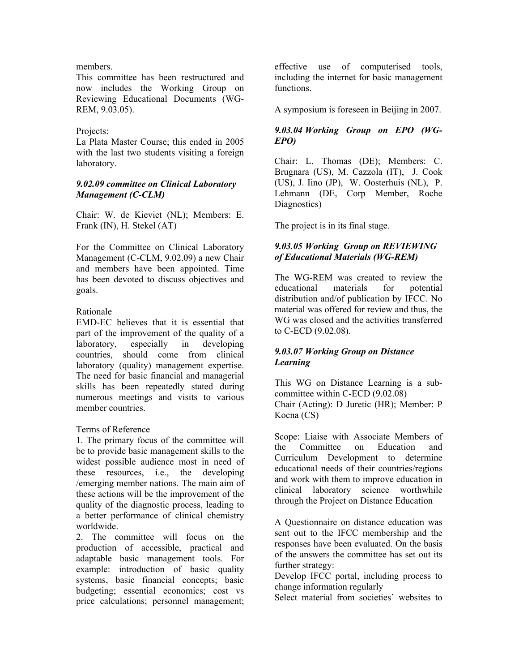#### members.

This committee has been restructured and now includes the Working Group on Reviewing Educational Documents (WG-REM, 9.03.05).

#### Projects:

La Plata Master Course; this ended in 2005 with the last two students visiting a foreign laboratory.

#### *9.02.09 committee on Clinical Laboratory Management (C-CLM)*

Chair: W. de Kieviet (NL); Members: E. Frank (IN), H. Stekel (AT)

For the Committee on Clinical Laboratory Management (C-CLM, 9.02.09) a new Chair and members have been appointed. Time has been devoted to discuss objectives and goals.

#### Rationale

EMD-EC believes that it is essential that part of the improvement of the quality of a laboratory, especially in developing countries, should come from clinical laboratory (quality) management expertise. The need for basic financial and managerial skills has been repeatedly stated during numerous meetings and visits to various member countries.

#### Terms of Reference

1. The primary focus of the committee will be to provide basic management skills to the widest possible audience most in need of these resources, i.e., the developing /emerging member nations. The main aim of these actions will be the improvement of the quality of the diagnostic process, leading to a better performance of clinical chemistry worldwide.

2. The committee will focus on the production of accessible, practical and adaptable basic management tools. For example: introduction of basic quality systems, basic financial concepts; basic budgeting; essential economics; cost vs price calculations; personnel management;

effective use of computerised tools, including the internet for basic management functions.

A symposium is foreseen in Beijing in 2007.

#### *9.03.04 Working Group on EPO (WG-EPO)*

Chair: L. Thomas (DE); Members: C. Brugnara (US), M. Cazzola (IT), J. Cook (US), J. Iino (JP), W. Oosterhuis (NL), P. Lehmann (DE, Corp Member, Roche Diagnostics)

The project is in its final stage.

#### *9.03.05 Working Group on REVIEWING of Educational Materials (WG-REM)*

The WG-REM was created to review the educational materials for potential distribution and/of publication by IFCC. No material was offered for review and thus, the WG was closed and the activities transferred to C-ECD (9.02.08).

#### *9.03.07 Working Group on Distance Learning*

This WG on Distance Learning is a subcommittee within C-ECD (9.02.08) Chair (Acting): D Juretic (HR); Member: P Kocna (CS)

Scope: Liaise with Associate Members of the Committee on Education and Curriculum Development to determine educational needs of their countries/regions and work with them to improve education in clinical laboratory science worthwhile through the Project on Distance Education

A Questionnaire on distance education was sent out to the IFCC membership and the responses have been evaluated. On the basis of the answers the committee has set out its further strategy:

Develop IFCC portal, including process to change information regularly

Select material from societies' websites to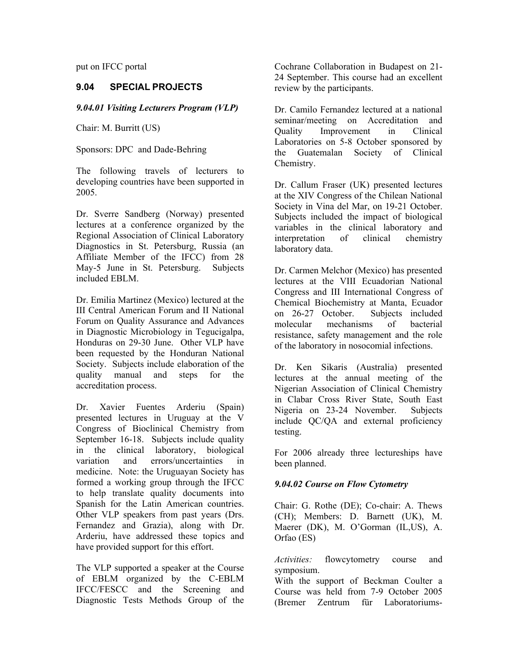put on IFCC portal

#### **9.04 SPECIAL PROJECTS**

#### *9.04.01 Visiting Lecturers Program (VLP)*

Chair: M. Burritt (US)

Sponsors: DPC and Dade-Behring

The following travels of lecturers to developing countries have been supported in 2005.

Dr. Sverre Sandberg (Norway) presented lectures at a conference organized by the Regional Association of Clinical Laboratory Diagnostics in St. Petersburg, Russia (an Affiliate Member of the IFCC) from 28 May-5 June in St. Petersburg. Subjects included EBLM.

Dr. Emilia Martinez (Mexico) lectured at the III Central American Forum and II National Forum on Quality Assurance and Advances in Diagnostic Microbiology in Tegucigalpa, Honduras on 29-30 June. Other VLP have been requested by the Honduran National Society. Subjects include elaboration of the quality manual and steps for the accreditation process.

Dr. Xavier Fuentes Arderiu (Spain) presented lectures in Uruguay at the V Congress of Bioclinical Chemistry from September 16-18. Subjects include quality in the clinical laboratory, biological variation and errors/uncertainties in medicine. Note: the Uruguayan Society has formed a working group through the IFCC to help translate quality documents into Spanish for the Latin American countries. Other VLP speakers from past years (Drs. Fernandez and Grazia), along with Dr. Arderiu, have addressed these topics and have provided support for this effort.

The VLP supported a speaker at the Course of EBLM organized by the C-EBLM IFCC/FESCC and the Screening and Diagnostic Tests Methods Group of the

Cochrane Collaboration in Budapest on 21- 24 September. This course had an excellent review by the participants.

Dr. Camilo Fernandez lectured at a national seminar/meeting on Accreditation and Quality Improvement in Clinical Laboratories on 5-8 October sponsored by the Guatemalan Society of Clinical Chemistry.

Dr. Callum Fraser (UK) presented lectures at the XIV Congress of the Chilean National Society in Vina del Mar, on 19-21 October. Subjects included the impact of biological variables in the clinical laboratory and interpretation of clinical chemistry laboratory data.

Dr. Carmen Melchor (Mexico) has presented lectures at the VIII Ecuadorian National Congress and III International Congress of Chemical Biochemistry at Manta, Ecuador on 26-27 October. Subjects included molecular mechanisms of bacterial resistance, safety management and the role of the laboratory in nosocomial infections.

Dr. Ken Sikaris (Australia) presented lectures at the annual meeting of the Nigerian Association of Clinical Chemistry in Clabar Cross River State, South East Nigeria on 23-24 November. Subjects include QC/QA and external proficiency testing.

For 2006 already three lectureships have been planned.

#### *9.04.02 Course on Flow Cytometry*

Chair: G. Rothe (DE); Co-chair: A. Thews (CH); Members: D. Barnett (UK), M. Maerer (DK), M. O'Gorman (IL,US), A. Orfao (ES)

*Activities:* flowcytometry course and symposium.

With the support of Beckman Coulter a Course was held from 7-9 October 2005 (Bremer Zentrum für Laboratoriums-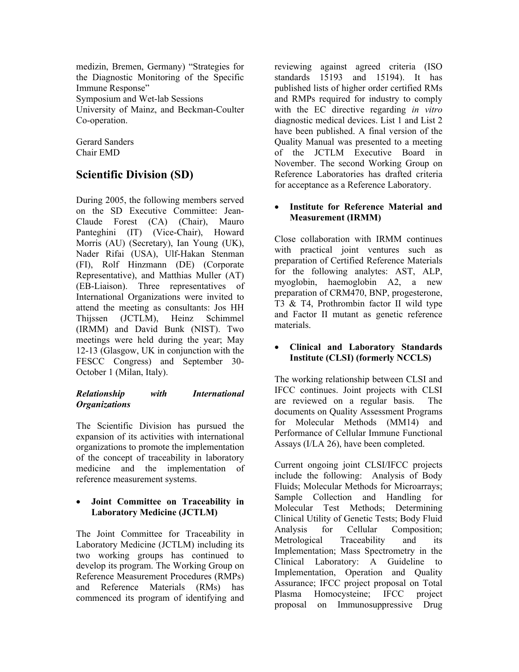medizin, Bremen, Germany) "Strategies for the Diagnostic Monitoring of the Specific Immune Response" Symposium and Wet-lab Sessions University of Mainz, and Beckman-Coulter Co-operation.

Gerard Sanders Chair EMD

# **Scientific Division (SD)**

During 2005, the following members served on the SD Executive Committee: Jean-Claude Forest (CA) (Chair), Mauro Panteghini (IT) (Vice-Chair), Howard Morris (AU) (Secretary), Ian Young (UK), Nader Rifai (USA), Ulf-Hakan Stenman (FI), Rolf Hinzmann (DE) (Corporate Representative), and Matthias Muller (AT) (EB-Liaison). Three representatives of International Organizations were invited to attend the meeting as consultants: Jos HH Thijssen (JCTLM), Heinz Schimmel (IRMM) and David Bunk (NIST). Two meetings were held during the year; May 12-13 (Glasgow, UK in conjunction with the FESCC Congress) and September 30- October 1 (Milan, Italy).

#### *Relationship with International Organizations*

The Scientific Division has pursued the expansion of its activities with international organizations to promote the implementation of the concept of traceability in laboratory medicine and the implementation of reference measurement systems.

#### • **Joint Committee on Traceability in Laboratory Medicine (JCTLM)**

The Joint Committee for Traceability in Laboratory Medicine (JCTLM) including its two working groups has continued to develop its program. The Working Group on Reference Measurement Procedures (RMPs) and Reference Materials (RMs) has commenced its program of identifying and

reviewing against agreed criteria (ISO standards 15193 and 15194). It has published lists of higher order certified RMs and RMPs required for industry to comply with the EC directive regarding *in vitro* diagnostic medical devices. List 1 and List 2 have been published. A final version of the Quality Manual was presented to a meeting of the JCTLM Executive Board in November. The second Working Group on Reference Laboratories has drafted criteria for acceptance as a Reference Laboratory.

#### • **Institute for Reference Material and Measurement (IRMM)**

Close collaboration with IRMM continues with practical joint ventures such as preparation of Certified Reference Materials for the following analytes: AST, ALP, myoglobin, haemoglobin A2, a new preparation of CRM470, BNP, progesterone, T3 & T4, Prothrombin factor II wild type and Factor II mutant as genetic reference materials.

#### • **Clinical and Laboratory Standards Institute (CLSI) (formerly NCCLS)**

The working relationship between CLSI and IFCC continues. Joint projects with CLSI are reviewed on a regular basis. The documents on Quality Assessment Programs for Molecular Methods (MM14) and Performance of Cellular Immune Functional Assays (I/LA 26), have been completed.

Current ongoing joint CLSI/IFCC projects include the following: Analysis of Body Fluids; Molecular Methods for Microarrays; Sample Collection and Handling for Molecular Test Methods; Determining Clinical Utility of Genetic Tests; Body Fluid Analysis for Cellular Composition; Metrological Traceability and its Implementation; Mass Spectrometry in the Clinical Laboratory: A Guideline to Implementation, Operation and Quality Assurance; IFCC project proposal on Total Plasma Homocysteine; IFCC project proposal on Immunosuppressive Drug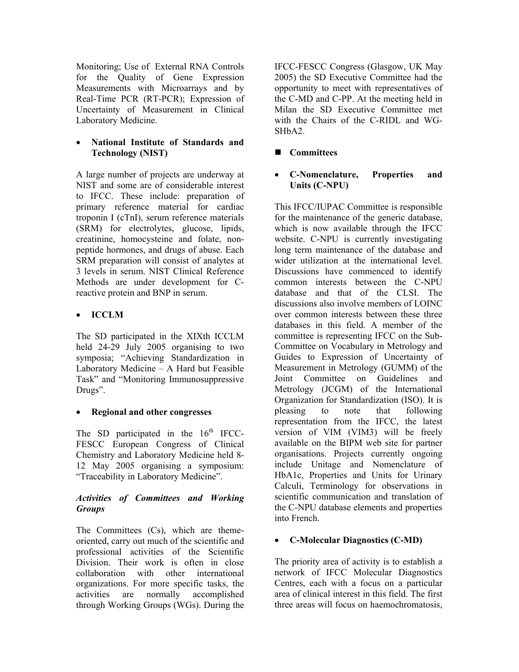Monitoring; Use of External RNA Controls for the Quality of Gene Expression Measurements with Microarrays and by Real-Time PCR (RT-PCR); Expression of Uncertainty of Measurement in Clinical Laboratory Medicine.

#### • **National Institute of Standards and Technology (NIST)**

A large number of projects are underway at NIST and some are of considerable interest to IFCC. These include: preparation of primary reference material for cardiac troponin I (cTnI), serum reference materials (SRM) for electrolytes, glucose, lipids, creatinine, homocysteine and folate, nonpeptide hormones, and drugs of abuse. Each SRM preparation will consist of analytes at 3 levels in serum. NIST Clinical Reference Methods are under development for Creactive protein and BNP in serum.

# • **ICCLM**

The SD participated in the XIXth ICCLM held 24-29 July 2005 organising to two symposia; "Achieving Standardization in Laboratory Medicine – A Hard but Feasible Task" and "Monitoring Immunosuppressive Drugs".

#### • **Regional and other congresses**

The SD participated in the  $16<sup>th</sup>$  IFCC-FESCC European Congress of Clinical Chemistry and Laboratory Medicine held 8- 12 May 2005 organising a symposium: "Traceability in Laboratory Medicine".

#### *Activities of Committees and Working Groups*

The Committees (Cs), which are themeoriented, carry out much of the scientific and professional activities of the Scientific Division. Their work is often in close collaboration with other international organizations. For more specific tasks, the activities are normally accomplished through Working Groups (WGs). During the

IFCC-FESCC Congress (Glasgow, UK May 2005) the SD Executive Committee had the opportunity to meet with representatives of the C-MD and C-PP. At the meeting held in Milan the SD Executive Committee met with the Chairs of the C-RIDL and WG-SHbA2.

# **Committees**

#### • **C-Nomenclature, Properties and Units (C-NPU)**

This IFCC/IUPAC Committee is responsible for the maintenance of the generic database, which is now available through the IFCC website. C-NPU is currently investigating long term maintenance of the database and wider utilization at the international level. Discussions have commenced to identify common interests between the C-NPU database and that of the CLSI. The discussions also involve members of LOINC over common interests between these three databases in this field. A member of the committee is representing IFCC on the Sub-Committee on Vocabulary in Metrology and Guides to Expression of Uncertainty of Measurement in Metrology (GUMM) of the Joint Committee on Guidelines and Metrology (JCGM) of the International Organization for Standardization (ISO). It is pleasing to note that following representation from the IFCC, the latest version of VIM (VIM3) will be freely available on the BIPM web site for partner organisations. Projects currently ongoing include Unitage and Nomenclature of HbA1c, Properties and Units for Urinary Calculi, Terminology for observations in scientific communication and translation of the C-NPU database elements and properties into French.

#### • **C-Molecular Diagnostics (C-MD)**

The priority area of activity is to establish a network of IFCC Molecular Diagnostics Centres, each with a focus on a particular area of clinical interest in this field. The first three areas will focus on haemochromatosis,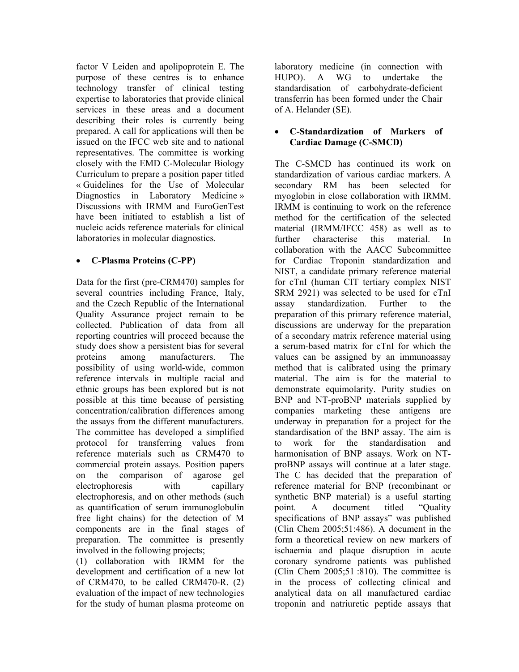factor V Leiden and apolipoprotein E. The purpose of these centres is to enhance technology transfer of clinical testing expertise to laboratories that provide clinical services in these areas and a document describing their roles is currently being prepared. A call for applications will then be issued on the IFCC web site and to national representatives. The committee is working closely with the EMD C-Molecular Biology Curriculum to prepare a position paper titled « Guidelines for the Use of Molecular Diagnostics in Laboratory Medicine » Discussions with IRMM and EuroGenTest have been initiated to establish a list of nucleic acids reference materials for clinical laboratories in molecular diagnostics.

## • **C-Plasma Proteins (C-PP)**

Data for the first (pre-CRM470) samples for several countries including France, Italy, and the Czech Republic of the International Quality Assurance project remain to be collected. Publication of data from all reporting countries will proceed because the study does show a persistent bias for several proteins among manufacturers. The possibility of using world-wide, common reference intervals in multiple racial and ethnic groups has been explored but is not possible at this time because of persisting concentration/calibration differences among the assays from the different manufacturers. The committee has developed a simplified protocol for transferring values from reference materials such as CRM470 to commercial protein assays. Position papers on the comparison of agarose gel electrophoresis with capillary electrophoresis, and on other methods (such as quantification of serum immunoglobulin free light chains) for the detection of M components are in the final stages of preparation. The committee is presently involved in the following projects;

(1) collaboration with IRMM for the development and certification of a new lot of CRM470, to be called CRM470-R. (2) evaluation of the impact of new technologies for the study of human plasma proteome on

laboratory medicine (in connection with HUPO). A WG to undertake the standardisation of carbohydrate-deficient transferrin has been formed under the Chair of A. Helander (SE).

#### • **C-Standardization of Markers of Cardiac Damage (C-SMCD)**

The C-SMCD has continued its work on standardization of various cardiac markers. A secondary RM has been selected for myoglobin in close collaboration with IRMM. IRMM is continuing to work on the reference method for the certification of the selected material (IRMM/IFCC 458) as well as to further characterise this material. In collaboration with the AACC Subcommittee for Cardiac Troponin standardization and NIST, a candidate primary reference material for cTnI (human CIT tertiary complex NIST SRM 2921) was selected to be used for cTnI assay standardization. Further to the preparation of this primary reference material, discussions are underway for the preparation of a secondary matrix reference material using a serum-based matrix for cTnI for which the values can be assigned by an immunoassay method that is calibrated using the primary material. The aim is for the material to demonstrate equimolarity. Purity studies on BNP and NT-proBNP materials supplied by companies marketing these antigens are underway in preparation for a project for the standardisation of the BNP assay. The aim is to work for the standardisation and harmonisation of BNP assays. Work on NTproBNP assays will continue at a later stage. The C has decided that the preparation of reference material for BNP (recombinant or synthetic BNP material) is a useful starting point. A document titled "Quality specifications of BNP assays" was published (Clin Chem 2005;51:486). A document in the form a theoretical review on new markers of ischaemia and plaque disruption in acute coronary syndrome patients was published (Clin Chem 2005;51 :810). The committee is in the process of collecting clinical and analytical data on all manufactured cardiac troponin and natriuretic peptide assays that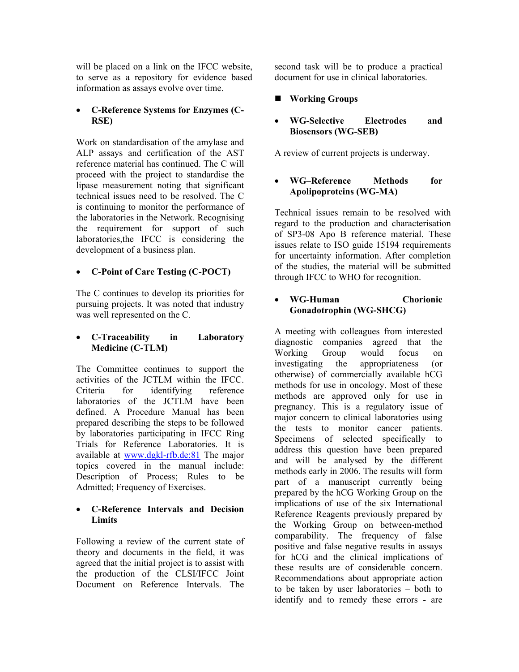will be placed on a link on the IFCC website, to serve as a repository for evidence based information as assays evolve over time.

#### • **C-Reference Systems for Enzymes (C-RSE)**

Work on standardisation of the amylase and ALP assays and certification of the AST reference material has continued. The C will proceed with the project to standardise the lipase measurement noting that significant technical issues need to be resolved. The C is continuing to monitor the performance of the laboratories in the Network. Recognising the requirement for support of such laboratories,the IFCC is considering the development of a business plan.

#### • **C-Point of Care Testing (C-POCT)**

The C continues to develop its priorities for pursuing projects. It was noted that industry was well represented on the C.

#### • **C-Traceability in Laboratory Medicine (C-TLM)**

The Committee continues to support the activities of the JCTLM within the IFCC. Criteria for identifying reference laboratories of the JCTLM have been defined. A Procedure Manual has been prepared describing the steps to be followed by laboratories participating in IFCC Ring Trials for Reference Laboratories. It is available at www.dgkl-rfb.de:81 The major topics covered in the manual include: Description of Process; Rules to be Admitted; Frequency of Exercises.

#### • **C-Reference Intervals and Decision Limits**

Following a review of the current state of theory and documents in the field, it was agreed that the initial project is to assist with the production of the CLSI/IFCC Joint Document on Reference Intervals. The

second task will be to produce a practical document for use in clinical laboratories.

## **Working Groups**

#### • **WG-Selective Electrodes and Biosensors (WG-SEB)**

A review of current projects is underway.

#### • **WG–Reference Methods for Apolipoproteins (WG-MA)**

Technical issues remain to be resolved with regard to the production and characterisation of SP3-08 Apo B reference material. These issues relate to ISO guide 15194 requirements for uncertainty information. After completion of the studies, the material will be submitted through IFCC to WHO for recognition.

#### • **WG-Human Chorionic Gonadotrophin (WG-SHCG)**

A meeting with colleagues from interested diagnostic companies agreed that the Working Group would focus on investigating the appropriateness (or otherwise) of commercially available hCG methods for use in oncology. Most of these methods are approved only for use in pregnancy. This is a regulatory issue of major concern to clinical laboratories using the tests to monitor cancer patients. Specimens of selected specifically to address this question have been prepared and will be analysed by the different methods early in 2006. The results will form part of a manuscript currently being prepared by the hCG Working Group on the implications of use of the six International Reference Reagents previously prepared by the Working Group on between-method comparability. The frequency of false positive and false negative results in assays for hCG and the clinical implications of these results are of considerable concern. Recommendations about appropriate action to be taken by user laboratories – both to identify and to remedy these errors - are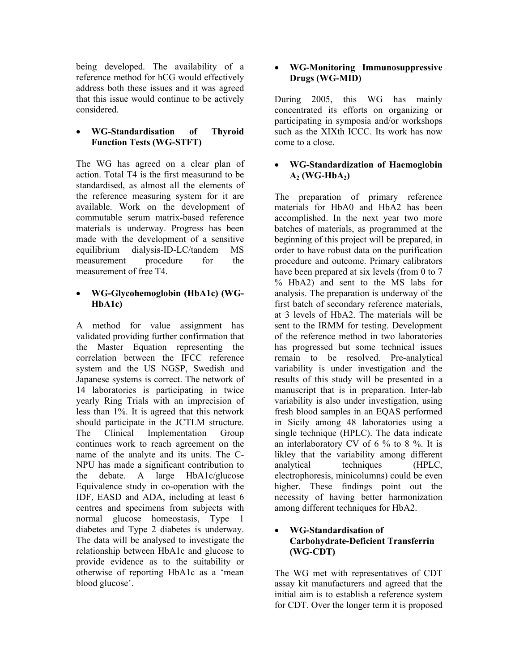being developed. The availability of a reference method for hCG would effectively address both these issues and it was agreed that this issue would continue to be actively considered.

#### • **WG-Standardisation of Thyroid Function Tests (WG-STFT)**

The WG has agreed on a clear plan of action. Total T4 is the first measurand to be standardised, as almost all the elements of the reference measuring system for it are available. Work on the development of commutable serum matrix-based reference materials is underway. Progress has been made with the development of a sensitive equilibrium dialysis-ID-LC/tandem MS measurement procedure for the measurement of free T4.

#### • **WG-Glycohemoglobin (HbA1c) (WG-HbA1c)**

A method for value assignment has validated providing further confirmation that the Master Equation representing the correlation between the IFCC reference system and the US NGSP, Swedish and Japanese systems is correct. The network of 14 laboratories is participating in twice yearly Ring Trials with an imprecision of less than 1%. It is agreed that this network should participate in the JCTLM structure. The Clinical Implementation Group continues work to reach agreement on the name of the analyte and its units. The C-NPU has made a significant contribution to the debate. A large HbA1c/glucose Equivalence study in co-operation with the IDF, EASD and ADA, including at least 6 centres and specimens from subjects with normal glucose homeostasis, Type 1 diabetes and Type 2 diabetes is underway. The data will be analysed to investigate the relationship between HbA1c and glucose to provide evidence as to the suitability or otherwise of reporting HbA1c as a 'mean blood glucose'.

#### • **WG-Monitoring Immunosuppressive Drugs (WG-MID)**

During 2005, this WG has mainly concentrated its efforts on organizing or participating in symposia and/or workshops such as the XIXth ICCC. Its work has now come to a close.

#### • **WG-Standardization of Haemoglobin**   $A_2$  (WG-Hb $A_2$ )

The preparation of primary reference materials for HbA0 and HbA2 has been accomplished. In the next year two more batches of materials, as programmed at the beginning of this project will be prepared, in order to have robust data on the purification procedure and outcome. Primary calibrators have been prepared at six levels (from 0 to 7 % HbA2) and sent to the MS labs for analysis. The preparation is underway of the first batch of secondary reference materials, at 3 levels of HbA2. The materials will be sent to the IRMM for testing. Development of the reference method in two laboratories has progressed but some technical issues remain to be resolved. Pre-analytical variability is under investigation and the results of this study will be presented in a manuscript that is in preparation. Inter-lab variability is also under investigation, using fresh blood samples in an EQAS performed in Sicily among 48 laboratories using a single technique (HPLC). The data indicate an interlaboratory CV of 6 % to 8 %. It is likley that the variability among different analytical techniques (HPLC, electrophoresis, minicolumns) could be even higher. These findings point out the necessity of having better harmonization among different techniques for HbA2.

#### • **WG-Standardisation of Carbohydrate-Deficient Transferrin (WG-CDT)**

The WG met with representatives of CDT assay kit manufacturers and agreed that the initial aim is to establish a reference system for CDT. Over the longer term it is proposed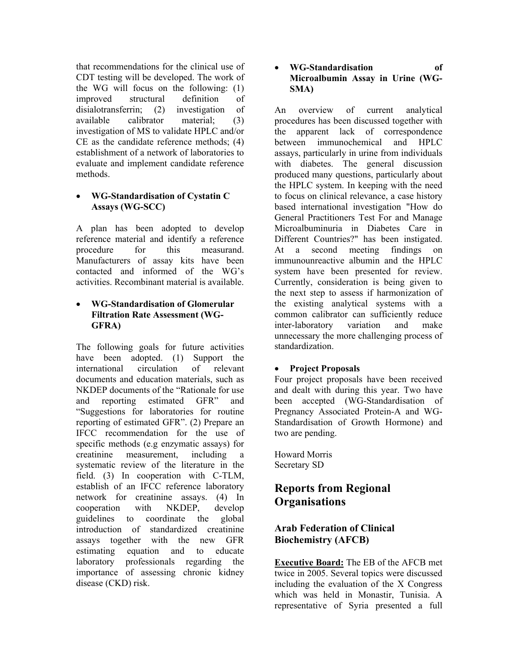that recommendations for the clinical use of CDT testing will be developed. The work of the WG will focus on the following: (1) improved structural definition of disialotransferrin; (2) investigation of available calibrator material; (3) investigation of MS to validate HPLC and/or CE as the candidate reference methods; (4) establishment of a network of laboratories to evaluate and implement candidate reference methods.

#### • **WG-Standardisation of Cystatin C Assays (WG-SCC)**

A plan has been adopted to develop reference material and identify a reference procedure for this measurand. Manufacturers of assay kits have been contacted and informed of the WG's activities. Recombinant material is available.

#### • **WG-Standardisation of Glomerular Filtration Rate Assessment (WG-GFRA)**

The following goals for future activities have been adopted. (1) Support the international circulation of relevant documents and education materials, such as NKDEP documents of the "Rationale for use and reporting estimated GFR" and "Suggestions for laboratories for routine reporting of estimated GFR". (2) Prepare an IFCC recommendation for the use of specific methods (e.g enzymatic assays) for creatinine measurement, including a systematic review of the literature in the field. (3) In cooperation with C-TLM, establish of an IFCC reference laboratory network for creatinine assays. (4) In cooperation with NKDEP, develop guidelines to coordinate the global introduction of standardized creatinine assays together with the new GFR estimating equation and to educate laboratory professionals regarding the importance of assessing chronic kidney disease (CKD) risk.

#### • **WG-Standardisation of Microalbumin Assay in Urine (WG-SMA)**

An overview of current analytical procedures has been discussed together with the apparent lack of correspondence between immunochemical and HPLC assays, particularly in urine from individuals with diabetes. The general discussion produced many questions, particularly about the HPLC system. In keeping with the need to focus on clinical relevance, a case history based international investigation "How do General Practitioners Test For and Manage Microalbuminuria in Diabetes Care in Different Countries?" has been instigated. At a second meeting findings on immunounreactive albumin and the HPLC system have been presented for review. Currently, consideration is being given to the next step to assess if harmonization of the existing analytical systems with a common calibrator can sufficiently reduce inter-laboratory variation and make unnecessary the more challenging process of standardization.

# • **Project Proposals**

Four project proposals have been received and dealt with during this year. Two have been accepted (WG-Standardisation of Pregnancy Associated Protein-A and WG-Standardisation of Growth Hormone) and two are pending.

Howard Morris Secretary SD

# **Reports from Regional Organisations**

# **Arab Federation of Clinical Biochemistry (AFCB)**

**Executive Board:** The EB of the AFCB met twice in 2005. Several topics were discussed including the evaluation of the X Congress which was held in Monastir, Tunisia. A representative of Syria presented a full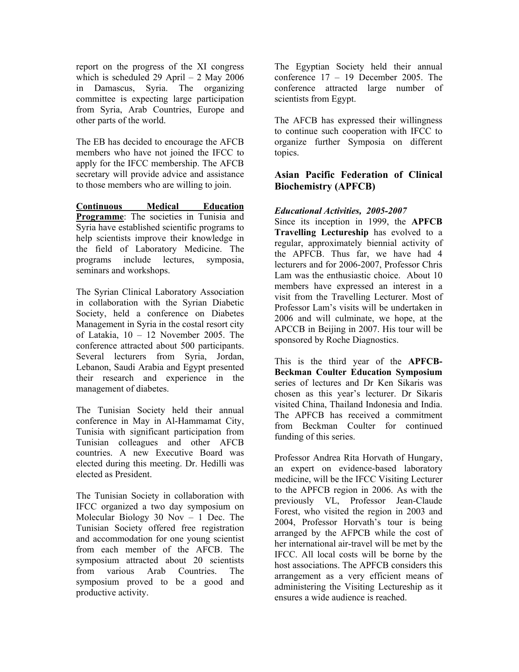report on the progress of the XI congress which is scheduled 29 April  $- 2$  May 2006 in Damascus, Syria. The organizing committee is expecting large participation from Syria, Arab Countries, Europe and other parts of the world.

The EB has decided to encourage the AFCB members who have not joined the IFCC to apply for the IFCC membership. The AFCB secretary will provide advice and assistance to those members who are willing to join.

**Continuous Medical Education Programme**: The societies in Tunisia and Syria have established scientific programs to help scientists improve their knowledge in the field of Laboratory Medicine. The programs include lectures, symposia, seminars and workshops.

The Syrian Clinical Laboratory Association in collaboration with the Syrian Diabetic Society, held a conference on Diabetes Management in Syria in the costal resort city of Latakia, 10 – 12 November 2005. The conference attracted about 500 participants. Several lecturers from Syria, Jordan, Lebanon, Saudi Arabia and Egypt presented their research and experience in the management of diabetes.

The Tunisian Society held their annual conference in May in Al-Hammamat City, Tunisia with significant participation from Tunisian colleagues and other AFCB countries. A new Executive Board was elected during this meeting. Dr. Hedilli was elected as President.

The Tunisian Society in collaboration with IFCC organized a two day symposium on Molecular Biology 30 Nov – 1 Dec. The Tunisian Society offered free registration and accommodation for one young scientist from each member of the AFCB. The symposium attracted about 20 scientists from various Arab Countries. The symposium proved to be a good and productive activity.

The Egyptian Society held their annual conference 17 – 19 December 2005. The conference attracted large number of scientists from Egypt.

The AFCB has expressed their willingness to continue such cooperation with IFCC to organize further Symposia on different topics.

## **Asian Pacific Federation of Clinical Biochemistry (APFCB)**

## *Educational Activities, 2005-2007*

Since its inception in 1999, the **APFCB Travelling Lectureship** has evolved to a regular, approximately biennial activity of the APFCB. Thus far, we have had 4 lecturers and for 2006-2007, Professor Chris Lam was the enthusiastic choice. About 10 members have expressed an interest in a visit from the Travelling Lecturer. Most of Professor Lam's visits will be undertaken in 2006 and will culminate, we hope, at the APCCB in Beijing in 2007. His tour will be sponsored by Roche Diagnostics.

This is the third year of the **APFCB-Beckman Coulter Education Symposium** series of lectures and Dr Ken Sikaris was chosen as this year's lecturer. Dr Sikaris visited China, Thailand Indonesia and India. The APFCB has received a commitment from Beckman Coulter for continued funding of this series.

Professor Andrea Rita Horvath of Hungary, an expert on evidence-based laboratory medicine, will be the IFCC Visiting Lecturer to the APFCB region in 2006. As with the previously VL, Professor Jean-Claude Forest, who visited the region in 2003 and 2004, Professor Horvath's tour is being arranged by the AFPCB while the cost of her international air-travel will be met by the IFCC. All local costs will be borne by the host associations. The APFCB considers this arrangement as a very efficient means of administering the Visiting Lectureship as it ensures a wide audience is reached.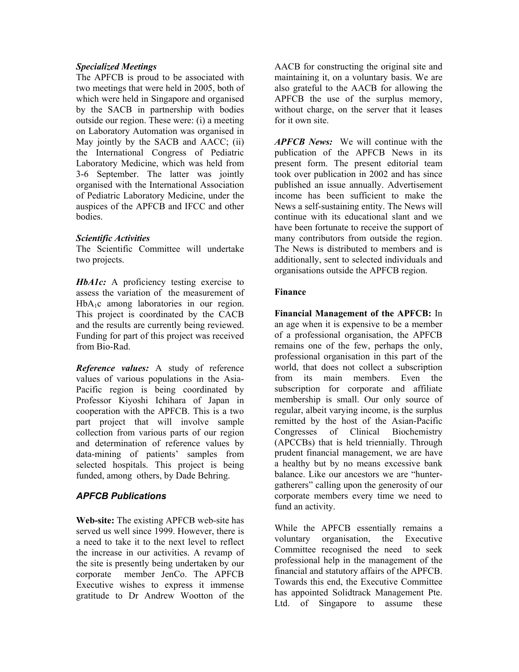#### *Specialized Meetings*

The APFCB is proud to be associated with two meetings that were held in 2005, both of which were held in Singapore and organised by the SACB in partnership with bodies outside our region. These were: (i) a meeting on Laboratory Automation was organised in May jointly by the SACB and AACC; (ii) the International Congress of Pediatric Laboratory Medicine, which was held from 3-6 September. The latter was jointly organised with the International Association of Pediatric Laboratory Medicine, under the auspices of the APFCB and IFCC and other bodies.

#### *Scientific Activities*

The Scientific Committee will undertake two projects.

*HbA1c:* A proficiency testing exercise to assess the variation of the measurement of HbA<sub>1</sub>c among laboratories in our region. This project is coordinated by the CACB and the results are currently being reviewed. Funding for part of this project was received from Bio-Rad.

*Reference values:* A study of reference values of various populations in the Asia-Pacific region is being coordinated by Professor Kiyoshi Ichihara of Japan in cooperation with the APFCB. This is a two part project that will involve sample collection from various parts of our region and determination of reference values by data-mining of patients' samples from selected hospitals. This project is being funded, among others, by Dade Behring.

#### *APFCB Publications*

**Web-site:** The existing APFCB web-site has served us well since 1999. However, there is a need to take it to the next level to reflect the increase in our activities. A revamp of the site is presently being undertaken by our corporate member JenCo. The APFCB Executive wishes to express it immense gratitude to Dr Andrew Wootton of the

AACB for constructing the original site and maintaining it, on a voluntary basis. We are also grateful to the AACB for allowing the APFCB the use of the surplus memory, without charge, on the server that it leases for it own site.

*APFCB News:* We will continue with the publication of the APFCB News in its present form. The present editorial team took over publication in 2002 and has since published an issue annually. Advertisement income has been sufficient to make the News a self-sustaining entity. The News will continue with its educational slant and we have been fortunate to receive the support of many contributors from outside the region. The News is distributed to members and is additionally, sent to selected individuals and organisations outside the APFCB region.

#### **Finance**

**Financial Management of the APFCB:** In an age when it is expensive to be a member of a professional organisation, the APFCB remains one of the few, perhaps the only, professional organisation in this part of the world, that does not collect a subscription from its main members. Even the subscription for corporate and affiliate membership is small. Our only source of regular, albeit varying income, is the surplus remitted by the host of the Asian-Pacific Congresses of Clinical Biochemistry (APCCBs) that is held triennially. Through prudent financial management, we are have a healthy but by no means excessive bank balance. Like our ancestors we are "huntergatherers" calling upon the generosity of our corporate members every time we need to fund an activity.

While the APFCB essentially remains a voluntary organisation, the Executive Committee recognised the need to seek professional help in the management of the financial and statutory affairs of the APFCB. Towards this end, the Executive Committee has appointed Solidtrack Management Pte. Ltd. of Singapore to assume these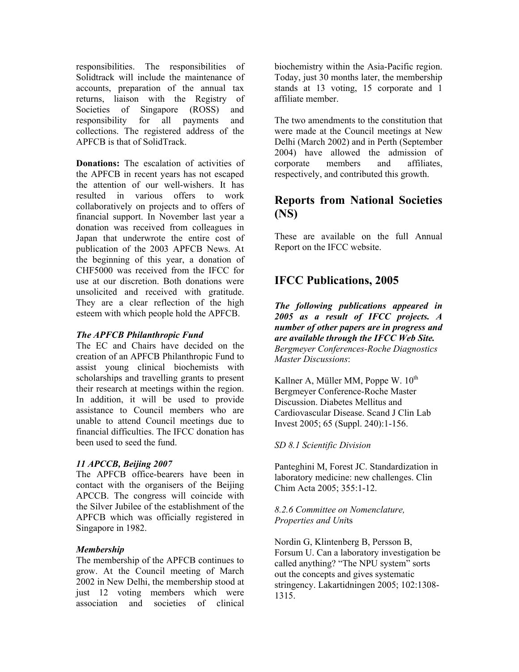responsibilities. The responsibilities of Solidtrack will include the maintenance of accounts, preparation of the annual tax returns, liaison with the Registry of Societies of Singapore (ROSS) and responsibility for all payments and collections. The registered address of the APFCB is that of SolidTrack.

**Donations:** The escalation of activities of the APFCB in recent years has not escaped the attention of our well-wishers. It has resulted in various offers to work collaboratively on projects and to offers of financial support. In November last year a donation was received from colleagues in Japan that underwrote the entire cost of publication of the 2003 APFCB News. At the beginning of this year, a donation of CHF5000 was received from the IFCC for use at our discretion. Both donations were unsolicited and received with gratitude. They are a clear reflection of the high esteem with which people hold the APFCB.

#### *The APFCB Philanthropic Fund*

The EC and Chairs have decided on the creation of an APFCB Philanthropic Fund to assist young clinical biochemists with scholarships and travelling grants to present their research at meetings within the region. In addition, it will be used to provide assistance to Council members who are unable to attend Council meetings due to financial difficulties. The IFCC donation has been used to seed the fund.

#### *11 APCCB, Beijing 2007*

The APFCB office-bearers have been in contact with the organisers of the Beijing APCCB. The congress will coincide with the Silver Jubilee of the establishment of the APFCB which was officially registered in Singapore in 1982.

#### *Membership*

The membership of the APFCB continues to grow. At the Council meeting of March 2002 in New Delhi, the membership stood at just 12 voting members which were association and societies of clinical

biochemistry within the Asia-Pacific region. Today, just 30 months later, the membership stands at 13 voting, 15 corporate and 1 affiliate member.

The two amendments to the constitution that were made at the Council meetings at New Delhi (March 2002) and in Perth (September 2004) have allowed the admission of corporate members and affiliates, respectively, and contributed this growth.

# **Reports from National Societies (NS)**

These are available on the full Annual Report on the IFCC website.

# **IFCC Publications, 2005**

*The following publications appeared in 2005 as a result of IFCC projects. A number of other papers are in progress and are available through the IFCC Web Site. Bergmeyer Conferences-Roche Diagnostics Master Discussions*:

Kallner A, Müller MM, Poppe W.  $10^{th}$ Bergmeyer Conference-Roche Master Discussion. Diabetes Mellitus and Cardiovascular Disease. Scand J Clin Lab Invest 2005; 65 (Suppl. 240):1-156.

#### *SD 8.1 Scientific Division*

Panteghini M, Forest JC. Standardization in laboratory medicine: new challenges. Clin Chim Acta 2005; 355:1-12.

#### *8.2.6 Committee on Nomenclature, Properties and Uni*ts

Nordin G, Klintenberg B, Persson B, Forsum U. Can a laboratory investigation be called anything? "The NPU system" sorts out the concepts and gives systematic stringency. Lakartidningen 2005; 102:1308- 1315.